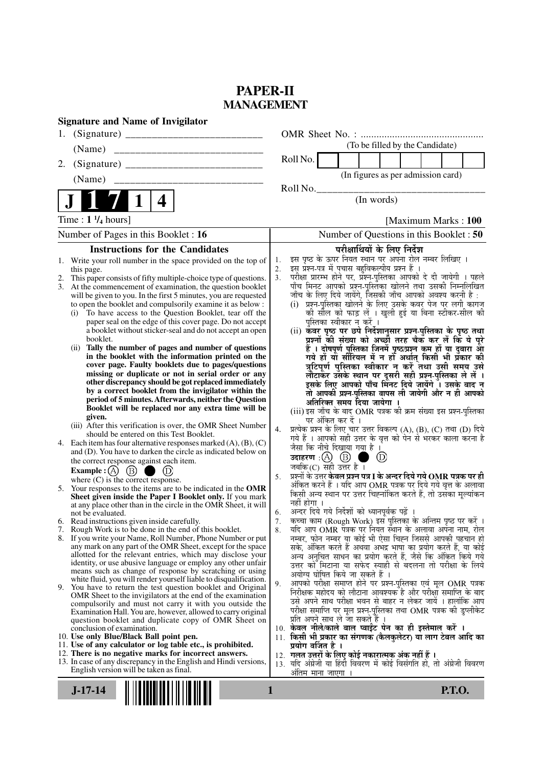# **PAPER-II MANAGEMENT**

| <b>Signature and Name of Invigilator</b>                                                                                          |                                                                                                                                 |
|-----------------------------------------------------------------------------------------------------------------------------------|---------------------------------------------------------------------------------------------------------------------------------|
| 1.                                                                                                                                |                                                                                                                                 |
| __________________________________<br>(Name)                                                                                      | (To be filled by the Candidate)                                                                                                 |
| 2.                                                                                                                                | Roll No.                                                                                                                        |
| (Name)                                                                                                                            | (In figures as per admission card)                                                                                              |
|                                                                                                                                   | Roll No.                                                                                                                        |
| 4                                                                                                                                 | (In words)                                                                                                                      |
| Time : $1 \frac{1}{4}$ hours]                                                                                                     | [Maximum Marks: 100]                                                                                                            |
| Number of Pages in this Booklet : 16                                                                                              | Number of Questions in this Booklet : 50                                                                                        |
| <b>Instructions for the Candidates</b>                                                                                            | परीक्षार्थियों के लिए निर्देश                                                                                                   |
| 1. Write your roll number in the space provided on the top of                                                                     | इस पृष्ठ के ऊपर नियत स्थान पर अपना रोल नम्बर लिखिए ।<br>1.<br>इस प्रश्न-पत्र में पचास बहुविकल्पीय प्रश्न हैं ।<br>2.            |
| this page.<br>This paper consists of fifty multiple-choice type of questions.<br>2.                                               | परीक्षा प्रारम्भ होने पर, प्रश्न-पुस्तिका आपको दे दी जायेगी । पहले<br>3.                                                        |
| 3. At the commencement of examination, the question booklet                                                                       | पाँच मिनट आपको प्रश्न-पुस्तिका खोलने तथा उसकी निम्नलिखित                                                                        |
| will be given to you. In the first 5 minutes, you are requested                                                                   | जाँच के लिए दिये जायेंगे, जिसकी जाँच आपको अवश्य करनी है :                                                                       |
| to open the booklet and compulsorily examine it as below :<br>(i) To have access to the Question Booklet, tear off the            | (i) प्रश्न-पुस्तिका खोलने के लिए उसके कवर पेज पर लगी कागज<br>को सील को फाड़ लें । खुली हुई या बिना स्टीकर-सील की                |
| paper seal on the edge of this cover page. Do not accept                                                                          | पुस्तिका स्वीकार न करें ।                                                                                                       |
| a booklet without sticker-seal and do not accept an open                                                                          | (ii) कॅवर पृष्ठ पर छपे निर्देशानुसार प्रश्न-पुस्तिका के पृष्ठ तथा                                                               |
| booklet.                                                                                                                          | प्रश्नों की संख्या को अच्छों तरह चैक कर लें कि ये पूरे                                                                          |
| Tally the number of pages and number of questions<br>(ii)<br>in the booklet with the information printed on the                   | हैं । दोषपूर्ण पुस्तिका जिनमें पृष्ठ/प्रश्न कम हों या दुबारा आ<br>गये हों या सीरियल में न हों अर्थात् किसी भी प्रँकार की        |
| cover page. Faulty booklets due to pages/questions                                                                                | त्रुटिपूर्ण पुस्तिका स्वीकार न करें तथा उसी समय उसे                                                                             |
| missing or duplicate or not in serial order or any                                                                                | लौटाकेर उसके स्थान पर दूसरी सही प्रश्न्-पुस्तिका ले लें ।                                                                       |
| other discrepancy should be got replaced immediately                                                                              | इसके लिए आपको पाँच मिनट दिये जायेंगे । उसके बाद न                                                                               |
| by a correct booklet from the invigilator within the<br>period of 5 minutes. Afterwards, neither the Question                     | तो आपकी प्रश्न-पुस्तिका वापस ली जायेगी और न ही आपको                                                                             |
| Booklet will be replaced nor any extra time will be                                                                               | अतिरिक्त समय दिया जायेगा ।<br>(iii) इस जाँच के बाद OMR पत्रक की क्रम संख्या इस प्रश्न-पुस्तिका                                  |
| given.                                                                                                                            | पर अंकित कर दें ।                                                                                                               |
| (iii) After this verification is over, the OMR Sheet Number                                                                       | प्रत्येक प्रश्न के लिए चार उत्तर विकल्प (A), (B), (C) तथा (D) दिये<br>4.                                                        |
| should be entered on this Test Booklet.<br>4. Each item has four alternative responses marked (A), (B), (C)                       | गये हैं । आपको सही उत्तर के वृत्त को पेन से भरकर काला करना है                                                                   |
| and (D). You have to darken the circle as indicated below on                                                                      | जैसा कि नीचे दिखाया गया है।                                                                                                     |
| the correct response against each item.                                                                                           | उदाहरण: $(A)$ $(B)$<br>(D)<br>जबकि(C) सही उत्तर है ।                                                                            |
| <b>Example:</b> (A) $(B)$<br>$\left(\mathrm{D}\right)$                                                                            | प्रश्नों के उत्तर <b>केवल प्रश्न पत्र I के अन्दर दिये गये OMR पत्रक पर ही</b><br>5.                                             |
| where $(C)$ is the correct response.<br>5.<br>Your responses to the items are to be indicated in the OMR                          | अंकित करने हैं । यदि आप OMR पत्रक पर दिये गये वृत्त के अलावा                                                                    |
| Sheet given inside the Paper I Booklet only. If you mark                                                                          | किसी अन्य स्थान पर उत्तर चिह्नांकित करते हैं, तो उसँका मूल्यांकन                                                                |
| at any place other than in the circle in the OMR Sheet, it will                                                                   | नहीं होगा ।                                                                                                                     |
| not be evaluated.<br>6. Read instructions given inside carefully.                                                                 | अन्दर दिये गये निर्देशों को ध्यानपूर्वक पढ़ें ।<br>6.<br>कच्चा काम (Rough Work) इस पुस्तिका के अन्तिम पृष्ठ पर करें ।<br>7.     |
| 7. Rough Work is to be done in the end of this booklet.                                                                           | र्याद आप OMR पत्रक पर नियत स्थान के अलावा अपना नाम, रोल<br>8.                                                                   |
| 8. If you write your Name, Roll Number, Phone Number or put                                                                       | नम्बर, फोन नम्बर या कोई भी ऐसा चिह्न जिससे आपकी पहचान हो                                                                        |
| any mark on any part of the OMR Sheet, except for the space<br>allotted for the relevant entries, which may disclose your         | सके, अंकित करते हैं अथवा अभद्र भाषा का प्रयोग करते हैं, या कोई                                                                  |
| identity, or use abusive language or employ any other unfair                                                                      | अन्य अनुचित साधन का प्रयोग करते हैं, जैसे कि अंकित किये गये<br>उत्तर को मिटाना या सफेद स्याही से बदलना तो परीक्षा के लिये       |
| means such as change of response by scratching or using                                                                           | अयोग्य घोषित किये जा सकते हैं ।                                                                                                 |
| white fluid, you will render yourself liable to disqualification.<br>9. You have to return the test question booklet and Original | आपको परीक्षा समाप्त होने पर प्रश्न-पुस्तिका एवं मूल OMR पत्रक<br>9.                                                             |
| OMR Sheet to the invigilators at the end of the examination                                                                       | निरीक्षक महोदय को लौटाना आवश्यक है और परीक्षा समाप्ति के बाद                                                                    |
| compulsorily and must not carry it with you outside the                                                                           | उसे अपने साथ परीक्षा भवन से बाहर न लेकर जायें । हालांकि आप<br>परीक्षा समाप्ति पर मूल प्रश्न-पुस्तिका तथा OMR पत्रक की डुप्लीकेट |
| Examination Hall. You are, however, allowed to carry original<br>question booklet and duplicate copy of OMR Sheet on              | प्रति अपने साथ ले जा सकते हैं ।                                                                                                 |
| conclusion of examination.                                                                                                        | 10. केवल नीले/काले बाल प्वाईंट पेन का ही इस्तेमाल करें ।                                                                        |
| 10. Use only Blue/Black Ball point pen.                                                                                           | 11. किसी भी प्रकार का संगणक (कैलकुलेटर) या लाग टेबल आदि का                                                                      |
| 11. Use of any calculator or log table etc., is prohibited.<br>12. There is no negative marks for incorrect answers.              | प्रयोग वर्जित है ।                                                                                                              |
| 13. In case of any discrepancy in the English and Hindi versions,                                                                 | 12.  गलत उत्तरों के लिए कोई नकारात्मक अंक नहीं हैं ।<br>13. यदि अंग्रेजी या हिंदी विवरण में कोई विसंगति हो, तो अंग्रेजी विवरण   |
| English version will be taken as final.                                                                                           | अतिम माना जाएगा ।                                                                                                               |
|                                                                                                                                   |                                                                                                                                 |
| $J-17-14$                                                                                                                         | 1<br><b>P.T.O.</b>                                                                                                              |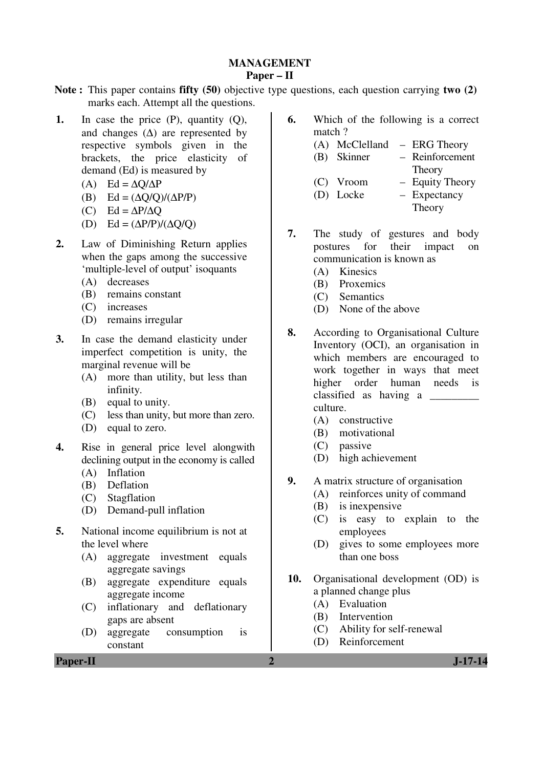# **MANAGEMENT**

# **Paper – II**

- **Note :** This paper contains **fifty (50)** objective type questions, each question carrying **two (2)** marks each. Attempt all the questions.
- **1.** In case the price (P), quantity (Q), and changes  $(\Delta)$  are represented by respective symbols given in the brackets, the price elasticity of demand (Ed) is measured by
	- (A) Ed =  $\Delta$ O/ $\Delta$ P
	- (B)  $Ed = (\Delta Q/Q)/(\Delta P/P)$
	- (C) Ed =  $\Delta P/\Delta Q$
	- (D) Ed =  $(\Delta P/P)/(\Delta Q/Q)$
- **2.** Law of Diminishing Return applies when the gaps among the successive 'multiple-level of output' isoquants
	- (A) decreases
	- (B) remains constant
	- (C) increases
	- (D) remains irregular
- **3.** In case the demand elasticity under imperfect competition is unity, the marginal revenue will be
	- (A) more than utility, but less than infinity.
	- (B) equal to unity.
	- (C) less than unity, but more than zero.
	- (D) equal to zero.
- **4.** Rise in general price level alongwith declining output in the economy is called
	- (A) Inflation
	- (B) Deflation
	- (C) Stagflation
	- (D) Demand-pull inflation
- **5.** National income equilibrium is not at the level where
	- (A) aggregate investment equals aggregate savings
	- (B) aggregate expenditure equals aggregate income
	- (C) inflationary and deflationary gaps are absent
	- (D) aggregate consumption is constant
- **6.** Which of the following is a correct match ?
	- (A) McClelland ERG Theory
	- (B) Skinner Reinforcement **Theory**
	- (C) Vroom Equity Theory
	- (D) Locke Expectancy
		- **Theory**
- **7.** The study of gestures and body postures for their impact on communication is known as
	- (A) Kinesics
	- (B) Proxemics
	- (C) Semantics
	- (D) None of the above
- **8.** According to Organisational Culture Inventory (OCI), an organisation in which members are encouraged to work together in ways that meet higher order human needs is classified as having a \_\_\_\_\_\_\_\_\_ culture.
	- (A) constructive
	- (B) motivational
	- (C) passive
	- (D) high achievement
- **9.** A matrix structure of organisation
	- (A) reinforces unity of command
	- (B) is inexpensive
	- (C) is easy to explain to the employees
	- (D) gives to some employees more than one boss
- **10.** Organisational development (OD) is a planned change plus
	- (A) Evaluation
	- (B) Intervention
	- (C) Ability for self-renewal
	- (D) Reinforcement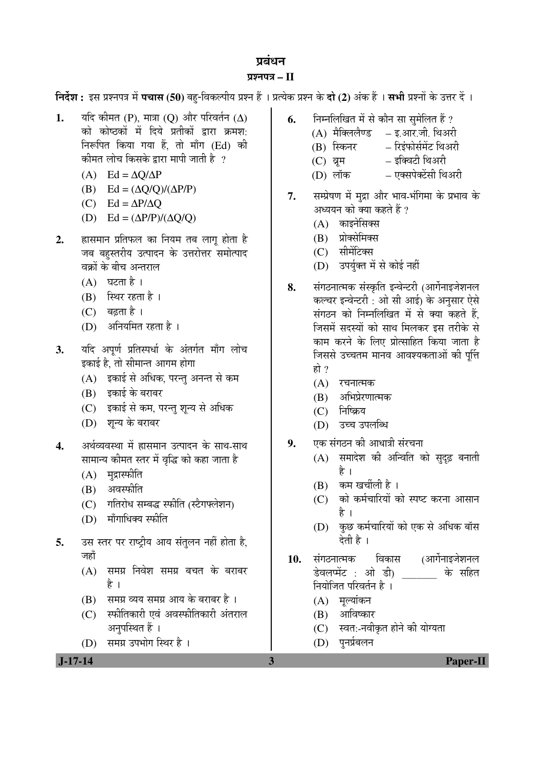# प्रबंधन

# ¯ÖÏ¿®Ö¯Ö¡Ö **– II**

**निर्देश :** इस प्रश्नपत्र में **पचास (50)** बहु-विकल्पीय प्रश्न हैं । प्रत्येक प्रश्न के **दो (2)** अंक हैं । सभी प्रश्नों के उत्तर दें ।

- **1.** यदि कीमत (P), मात्रा (Q) और परिवर्तन (∆) को कोष्ठकों में दिये प्रतीकों द्वारा क्रमश: निरूपित किया गया हैं. तो माँग (Ed) की ेकीमत लोच किसके द्वारा मापी जाती है ?
	- (A) Ed =  $\Delta Q/\Delta P$
	- (B) Ed =  $(\Delta Q/Q)/(\Delta P/P)$
	- (C) Ed =  $\Delta P/\Delta Q$
	- (D)  $Ed = (\Delta P/P)/(\Delta Q/Q)$
- 2. ETHE प्रतिफल का नियम तब लाग होता है जब बहस्तरीय उत्पादन के उत्तरोत्तर समोत्पाद वक्रों के बीच अन्तराल
	- $(A)$  घटता है।
	- $(B)$  स्थिर रहता है।
	- $(C)$  बढ़ता है ।
	- $(D)$  अनियमित रहता है।
- 3. यदि अपूर्ण प्रतिस्पर्धा के अंतर्गत माँग लोच इकाई है. तो सीमान्त आगम होगा
	- (A) इकाई से अधिक, परन्तु अनन्त से कम
	- (B) इकाई के बराबर
	- (C) इकाई से कम, परन्तु शुन्य से अधिक
	- (D) शन्य के बराबर
- <u>4. अर्थव्यवस्था में ह्रासमान उत्पादन के साथ-साथ</u> सामान्य कीमत स्तर में वृद्धि को कहा जाता है
	- $(A)$  मुद्रास्फीति
	- $(B)$  अवस्फीति
	- $(C)$  गतिरोध सम्बद्ध स्फीति (स्टैगफ्लेशन)
	- $(D)$  माँगाधिक्य स्फीति
- 5. उस स्तर पर राष्ट्रीय आय संतुलन नहीं होता है, जहाँ
	- (A) समग्र निवेश समग्र बचत के बराबर है ।
	- $(B)$  समग्र व्यय समग्र आय के बराबर है।
	- $(C)$  स्फीतिकारी एवं अवस्फीतिकारी अंतराल अनुपस्थित हैं ।
	- (D) समग्र उपभोग स्थिर है।

# **J-17-14 3 Paper-II**

- **6.** निम्नलिखित में से कौन सा सुमेलित हैं ?
	- (A) मैक्लिलैण्ड इ.आर.जी. थिअरी
	- (B) स्किनर रिइंफोर्समेंट थिअरी
	- (C) व्रम इक्विटी थिअरी
	- (D) लॉक एक्सपेक्टेंसी थिअरी
- 7. सम्प्रेषण में मुद्रा और भाव-भंगिमा के प्रभाव के अध्ययन को क्या कहते हैं ?
	- $(A)$  काइनेसिक्स
	- (B) प्रोक्सेमिक्स
	- (C) सीमेंटिक्स
	- (D) उपर्युक्त में से कोई नहीं
- 8. संगठनात्मक संस्कृति इन्वेन्टरी (आर्गेनाइजेशनल कल्चर इन्वेन्टरी : ओ सी आई) के अनसार ऐसे संगठन को निम्नलिखित में से क्या कहते हैं. जिसमें सदस्यों को साथ मिलकर इस तरीके से काम करने के लिए प्रोत्साहित किया जाता है जिससे उच्चतम मानव आवश्यकताओं की पुर्त्ति हो  $\gamma$ 
	- $(A)$  रचनात्मक
	- $(B)$  अभिप्रेरणात्मक
	- $(C)$  निष्क्रिय
	- (D) उच्च उपलब्धि
- **9.** . . एक संगठन की आधात्री संरचना
	- $(A)$  समादेश की अन्विति को सुदृढ़ बनाती है ।
	- $(B)$  कम खर्चीली है।
	- (C) को कर्मचारियों को स्पष्ट करना आसान है ।
	- (D) कुछ कर्मचारियों को एक से अधिक बॉस देती है ।
- 10. संगठनात्मक विकास (आर्गेनाइजेशनल डेवलप्मेंट : ओ डी) <sup>के सहित</sup> नियोजित परिवर्तन है ।
	- $(A)$  मुल्यांकन
	- $(B)$  आविष्कार
	- (C) स्वत:-नवीकृत होने की योग्यता
	- (D) पुनर्प्रबलन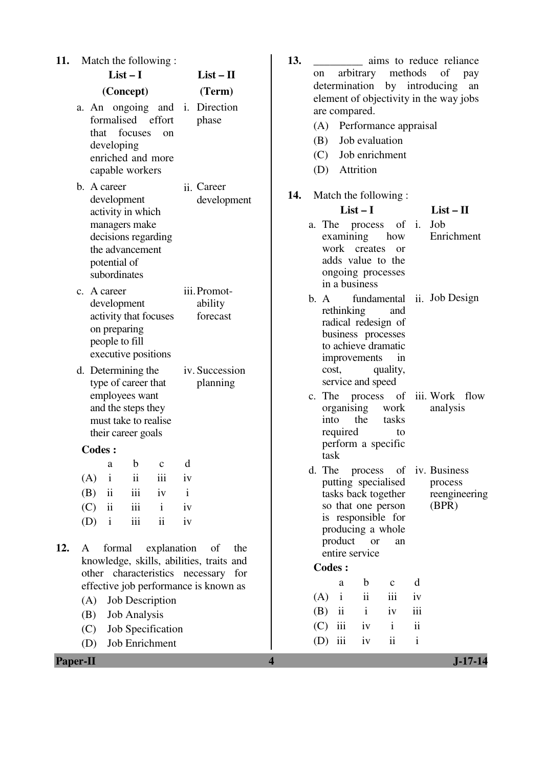| 11. |                          |                                                                           |                                                                                                         | Match the following:                                    |                                |                                                                                              | 13.                                                                                     |                   |                   |                                                                                                                        |                                 |               | aims to reduce reliance                          |
|-----|--------------------------|---------------------------------------------------------------------------|---------------------------------------------------------------------------------------------------------|---------------------------------------------------------|--------------------------------|----------------------------------------------------------------------------------------------|-----------------------------------------------------------------------------------------|-------------------|-------------------|------------------------------------------------------------------------------------------------------------------------|---------------------------------|---------------|--------------------------------------------------|
|     |                          |                                                                           | $List-I$                                                                                                |                                                         |                                | $List - II$                                                                                  |                                                                                         | on                |                   | arbitrary                                                                                                              | methods                         |               | of<br>pay                                        |
|     | (Concept)<br>(Term)      |                                                                           |                                                                                                         |                                                         |                                |                                                                                              | determination by introducing<br>element of objectivity in the way jobs<br>are compared. |                   |                   |                                                                                                                        |                                 |               | an                                               |
|     |                          | that<br>developing                                                        | focuses<br>capable workers                                                                              | formalised effort<br><sub>on</sub><br>enriched and more |                                | a. An ongoing and i. Direction<br>phase                                                      |                                                                                         | (B)<br>(C)<br>(D) |                   | (A) Performance appraisal<br>Job evaluation<br>Job enrichment<br>Attrition                                             |                                 |               |                                                  |
|     |                          | b. A career<br>development                                                | activity in which                                                                                       |                                                         |                                | ii. Career<br>development                                                                    | 14.                                                                                     |                   |                   | Match the following:<br>$List-I$                                                                                       |                                 |               | $List - II$                                      |
|     |                          | potential of<br>subordinates                                              | managers make<br>the advancement                                                                        | decisions regarding                                     |                                |                                                                                              |                                                                                         |                   | examining         | a. The process of i.<br>work creates<br>adds value to the<br>ongoing processes<br>in a business                        | how<br><sub>or</sub>            |               | Job<br>Enrichment                                |
|     |                          | c. A career<br>development<br>on preparing<br>people to fill              |                                                                                                         | activity that focuses<br>executive positions            |                                | iii. Promot-<br>ability<br>forecast                                                          |                                                                                         | b. A              | rethinking        | radical redesign of<br>business processes<br>to achieve dramatic<br>improvements                                       | and<br>in                       |               | fundamental ii. Job Design                       |
|     |                          |                                                                           | d. Determining the<br>type of career that<br>employees want<br>and the steps they<br>their career goals | must take to realise                                    |                                | iv. Succession<br>planning                                                                   |                                                                                         | c. The<br>into    | cost,<br>required | service and speed<br>organising<br>the                                                                                 | quality,<br>work<br>tasks<br>to |               | process of iii. Work flow<br>analysis            |
|     |                          | <b>Codes:</b>                                                             |                                                                                                         |                                                         |                                |                                                                                              |                                                                                         | task              |                   | perform a specific                                                                                                     |                                 |               |                                                  |
|     | (A)<br>(B)<br>(C)<br>(D) | $\mathbf{i}$<br>$\overline{\mathbf{u}}$<br>$\ddot{\rm n}$<br>$\mathbf{i}$ | ii<br>iii<br>iii<br>$\rm iii$                                                                           | a b c d<br>iii<br>iv<br>$\mathbf{i}$<br>$\mathbf{ii}$   | iv<br>$\mathbf{i}$<br>iv<br>iv |                                                                                              |                                                                                         | d. The            |                   | process<br>putting specialised<br>tasks back together<br>so that one person<br>is responsible for<br>producing a whole | of                              |               | iv. Business<br>process<br>reengineerin<br>(BPR) |
| 12. | A                        | formal                                                                    |                                                                                                         | explanation                                             |                                | of<br>the<br>knowledge, skills, abilities, traits and<br>other characteristics necessary for |                                                                                         | <b>Codes:</b>     | product           | <b>or</b><br>entire service                                                                                            | an                              |               |                                                  |
|     |                          |                                                                           |                                                                                                         |                                                         |                                | effective job performance is known as                                                        |                                                                                         |                   | a                 | $\mathbf b$                                                                                                            | $\mathbf c$                     | d             |                                                  |
|     | (A)                      |                                                                           |                                                                                                         | Job Description                                         |                                |                                                                                              |                                                                                         | (A)               | $\mathbf{i}$      | $\mathbf{ii}$                                                                                                          | iii                             | iv            |                                                  |
|     | (B)                      |                                                                           | <b>Job Analysis</b>                                                                                     |                                                         |                                |                                                                                              |                                                                                         | (B)               | ii                | $\mathbf{i}$                                                                                                           | iv                              | iii           |                                                  |
|     | (C)                      |                                                                           |                                                                                                         | Job Specification                                       |                                |                                                                                              |                                                                                         | (C)               | iii               | iv                                                                                                                     | $\mathbf{i}$                    | $\mathbf{ii}$ |                                                  |
|     | (D)                      |                                                                           |                                                                                                         | Job Enrichment                                          |                                |                                                                                              |                                                                                         | (D)               | iii               | iv                                                                                                                     | ii                              | $\mathbf{i}$  |                                                  |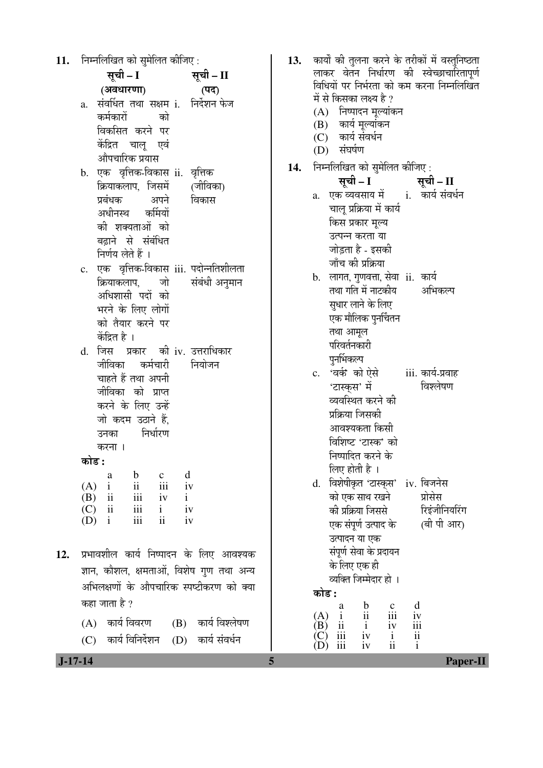| 11.    निम्नलिखित को सुमेलित कीजिए : |                                             |        |                                                   |
|--------------------------------------|---------------------------------------------|--------|---------------------------------------------------|
|                                      | सूची – I                                    |        | सूची – II                                         |
|                                      | (अवधारणा)                                   |        | (पद)                                              |
| a.                                   | संवर्धित तथा सक्षम i.  निर्देशन फेज         |        |                                                   |
|                                      | कर्मकारों को                                |        |                                                   |
|                                      | विकसित करने पर                              |        |                                                   |
|                                      | केंद्रित चालू एवं                           |        |                                                   |
|                                      | औपचारिक प्रयास                              |        |                                                   |
|                                      | b. एक वृत्तिक-विकास ii. वृत्तिक             |        |                                                   |
|                                      | क्रियाकलाप, जिसमें (जीविका)                 |        |                                                   |
|                                      | प्रबंधक अपने                                |        | विकास                                             |
|                                      | अधीनस्थ कर्मियों                            |        |                                                   |
|                                      | की शक्यताओं को<br>बढ़ाने से संबंधित         |        |                                                   |
|                                      | निर्णय लेते हैं ।                           |        |                                                   |
| $\mathbf{c}$ .                       | एक वृत्तिक-विकास iii. पदोन्नतिशीलता         |        |                                                   |
|                                      | क्रियाकलाप, जो संबंधी अनुमान                |        |                                                   |
|                                      | अधिशासी पदों को                             |        |                                                   |
|                                      | भरने के लिए लोगों                           |        |                                                   |
|                                      | को तैयार करने पर                            |        |                                                   |
|                                      | केंद्रित है ।                               |        |                                                   |
| d.                                   | जिस प्रकार की iv. उत्तराधिकार               |        |                                                   |
|                                      | जीविका कर्मचारी                             |        | नियोजन                                            |
|                                      | चाहते हैं तथा अपनी                          |        |                                                   |
|                                      | जीविका को प्राप्त                           |        |                                                   |
|                                      | करने के लिए उन्हें                          |        |                                                   |
|                                      | जो कदम उठाने हैं,<br>उनका निर्धारण          |        |                                                   |
| करना ।                               |                                             |        |                                                   |
| कोड :                                |                                             |        |                                                   |
| a                                    | $\mathbf{b}$<br>$\mathbf{c}$                | d      |                                                   |
| (A)                                  | $i$ $ii$                                    | iii iv |                                                   |
| $(B)$ ii<br>$\overrightarrow{C}$ ii  | iii iv i                                    | iv     |                                                   |
| $(D)$ i                              | $iii \quad i$<br>iii<br>$\ddot{\mathbf{i}}$ | iv     |                                                   |
|                                      |                                             |        |                                                   |
|                                      |                                             |        | <b>12.</b> प्रभावशील कार्य निष्पादन के लिए आवश्यक |
|                                      |                                             |        | ज्ञान, कौशल, क्षमताओं, विशेष गुण तथा अन्य         |
|                                      |                                             |        | अभिलक्षणों के औपचारिक स्पष्टीकरण को क्या          |
| कहा जाता है ?                        |                                             |        |                                                   |
|                                      |                                             |        |                                                   |
|                                      | (A) कार्य विवरण (B) कार्य विश्लेषण          |        |                                                   |

|     | 13.   कार्यों की तुलना करने के तरीकों में वस्तुनिष्ठता<br>लाकर वेतन निर्धारण की स्वेच्छाचारितापूर्ण<br>विधियों पर निर्भरता को कम करना निम्नलिखित<br>में से किसका लक्ष्य है ?<br>(A) निष्पादन मूल्यांकन<br>(B) कार्य मूल्यांकन<br>(C) कार्य संवर्धन<br>(D) संघर्षण                                              |
|-----|----------------------------------------------------------------------------------------------------------------------------------------------------------------------------------------------------------------------------------------------------------------------------------------------------------------|
| 14. | निम्नलिखित को सुमेलित कीजिए:                                                                                                                                                                                                                                                                                   |
|     | ्राः सूची – II<br>सूची – I                                                                                                                                                                                                                                                                                     |
|     | एक व्यवसाय में  कार्य संवर्धन<br>a.<br>चालू प्रक्रिया में कार्य<br>किस प्रकार मूल्य<br>उत्पन्न करता या<br>जोड़ता है - इसकी                                                                                                                                                                                     |
|     | जाँच की प्रक्रिया                                                                                                                                                                                                                                                                                              |
|     | b. लागत, गुणवत्ता, सेवा ii. कार्य<br>तथा गति में नाटकीय अभिकल्प<br>सुधार लाने के लिए<br>एक मौलिक पुनर्चितन<br>तथा आमूल<br>परिवर्तनकारी                                                                                                                                                                         |
|     | पुनर्भिकल्प                                                                                                                                                                                                                                                                                                    |
|     | c. 'वर्क' को ऐसे<br>iii. कार्य-प्रवाह<br>विश्लेषण<br>'टास्कृस' में<br>व्यवस्थित करने की<br>प्रक्रिया जिसकी<br>आवश्यकता किसी                                                                                                                                                                                    |
|     | विशिष्ट 'टास्क' को<br>निष्पादित करने के<br>लिए होती है ।<br>विशेषीकृत 'टास्क्स' iv. बिजनेस<br>d.<br>को एक साथ रखने<br>प्रोसेस<br>रिइंजीनियरिंग<br>की प्रक्रिया जिससे<br>(बी पी आर)<br>एक संपूर्ण उत्पाद के<br>उत्पादन या एक<br>संपूर्ण सेवा के प्रदायन<br>के लिए एक ही<br>व्यक्ति जिम्मेदार हो ।<br>कोड :<br>d |
|     | $\frac{b}{11}$<br>$rac{c}{111}$<br>$\frac{c}{1}$<br>(A)<br>iv                                                                                                                                                                                                                                                  |

 (B) ii i iv iii  $(C)$  iii iv i ii (D) iii iv ii i

 **J-17-14 5 Paper-II**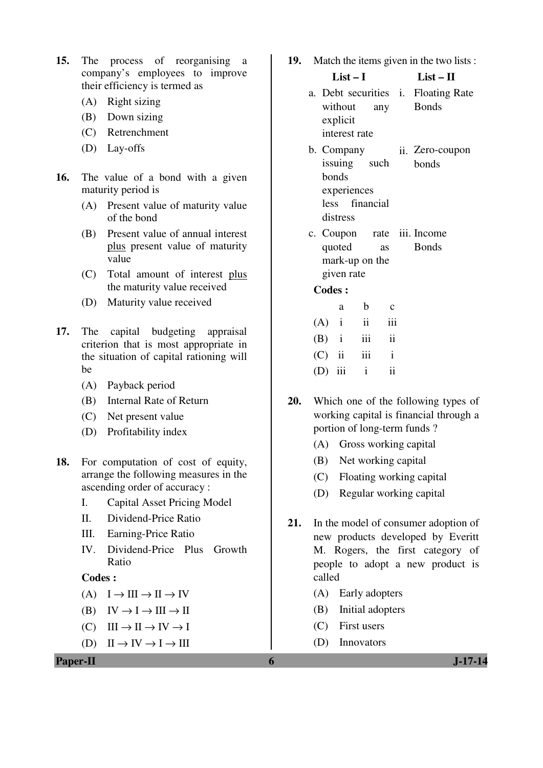- **15.** The process of reorganising a company's employees to improve their efficiency is termed as
	- (A) Right sizing
	- (B) Down sizing
	- (C) Retrenchment
	- (D) Lay-offs
- **16.** The value of a bond with a given maturity period is
	- (A) Present value of maturity value of the bond
	- (B) Present value of annual interest plus present value of maturity value
	- (C) Total amount of interest plus the maturity value received
	- (D) Maturity value received
- **17.** The capital budgeting appraisal criterion that is most appropriate in the situation of capital rationing will be
	- (A) Payback period
	- (B) Internal Rate of Return
	- (C) Net present value
	- (D) Profitability index
- **18.** For computation of cost of equity, arrange the following measures in the ascending order of accuracy :
	- I. Capital Asset Pricing Model
	- II. Dividend-Price Ratio
	- III. Earning-Price Ratio
	- IV. Dividend-Price Plus Growth Ratio

### **Codes :**

- $(A) \quad I \to III \to II \to IV$
- $(B) \quad IV \rightarrow I \rightarrow III \rightarrow II$
- $(C) \quad III \rightarrow II \rightarrow IV \rightarrow I$
- $(D) \quad II \rightarrow IV \rightarrow I \rightarrow III$

### **Paper-II 6 J-17-14**

**19.** Match the items given in the two lists :

#### **List – I List – II**

- a. Debt securities i. Floating Rate without any explicit interest rate Bonds
- b. Company issuing such bonds experiences less financial distress ii. Zero-coupon bonds
- c. Coupon rate quoted as mark-up on the given rate iii. Income **Bonds**

|           | a | b             | $\mathbf c$  |
|-----------|---|---------------|--------------|
| $(A)$ i   |   | $\mathbf{ii}$ | 111          |
| $(B)$ i   |   | iii           | ii           |
| $(C)$ ii  |   | iii           | $\mathbf{i}$ |
| $(D)$ iii |   | $\mathbf{i}$  | ij           |

- **20.** Which one of the following types of working capital is financial through a portion of long-term funds ?
	- (A) Gross working capital
	- (B) Net working capital
	- (C) Floating working capital
	- (D) Regular working capital
- **21.** In the model of consumer adoption of new products developed by Everitt M. Rogers, the first category of people to adopt a new product is called
	- (A) Early adopters
	- (B) Initial adopters
	- (C) First users
	- (D) Innovators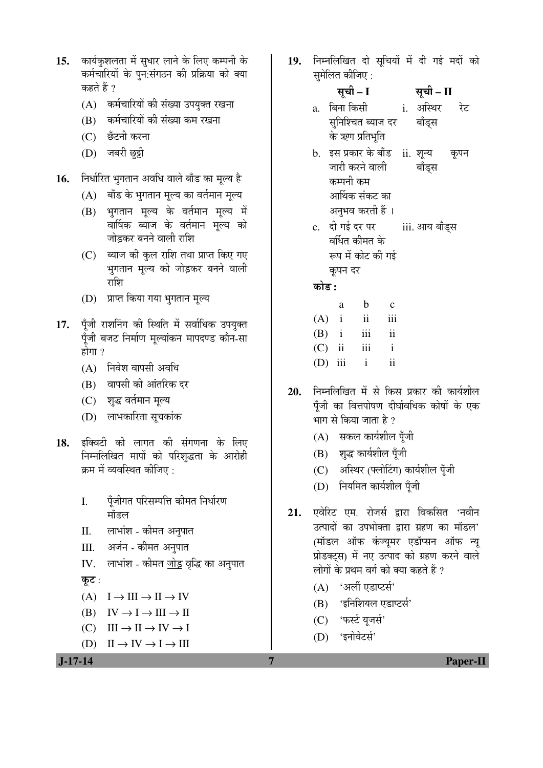- 15. कार्यकशलता में सधार लाने के लिए कम्पनी के कर्मचारियों के पुन:संगठन की प्रक्रिया को क्या कहते हैं ?
	- (A) कर्मचारियों की संख्या उपयुक्त रखना
	- (B) कर्मचारियों की संख्या कम रखना
	- (C) छँटनी करना
	- (D) जबरी छुट्टी
- **16.** ×®Ö¬ÖÖÔ׸üŸÖ ³ÖãÝÖŸÖÖ®Ö †¾Ö×¬Ö ¾ÖÖ»Öê ²ÖÖÑ›ü ÛúÖ ´Öæ»µÖ Æîü
	- $(A)$  बाँड के भगतान मुल्य का वर्तमान मुल्य
	- (B) भुगतान मूल्य के वर्तमान मूल्य में वार्षिक ब्याज के वर्तमान मूल्य को जोडकर बनने वाली राशि
	- (C) ब्याज की कुल राशि तथा प्राप्त किए गए भुगतान मूल्य को जोड़कर बनने वाली राशि
	- (D) प्राप्त किया गया भगतान मुल्य
- 17. पॅंजी राशनिंग की स्थिति में सर्वाधिक उपयुक्त पुँजी बजट निर्माण मुल्यांकन मापदण्ड कौन-सा होगा $?$ 
	- $(A)$  निवेश वापसी अवधि
	- (B) वापसी की आंतरिक दर
	- (C) शुद्ध वर्तमान मूल्य
	- (D) लाभकारिता सूचकांक
- 18. इक्विटी की लागत की संगणना के लिए निम्नलिखित मापों को परिशृद्धता के आरोही क्रम में व्यवस्थित कीजिए :
	- I. पॅंजीगत परिसम्पत्ति कीमत निर्धारण मॉडल
	- II. लाभांश कीमत अनुपात
	- III. अर्जन कीमत अनुपात
	- IV. लाभांश कीमत <u>जोड़</u> वृद्धि का अनुपात
	- कूट:
	- $(A) \quad I \to III \to II \to IV$
	- (B)  $IV \rightarrow I \rightarrow III \rightarrow II$
	- $(C) \quad III \rightarrow II \rightarrow IV \rightarrow I$
	- $(D) \quad II \rightarrow IV \rightarrow I \rightarrow III$

19. निम्नलिखित दो सुचियों में दी गई मदों को समेलित कीजिए :

# ÃÖæ"Öß **– I** ÃÖæ"Öß **– II**

- a बिना किसी सुनिश्चित ब्याज दर के ऋण प्रतिभूति i अस्थिर रेट बॉड्स
- b. इस प्रकार के बाँड ii. शून्य कूपन जारी करने वाली कम्पनी कम आर्थिक संकट का अनुभव करती हैं । बाँडस
- c. दी गई दर पर वर्धित कीमत के रूप में कोट की गई कृपन दर iii. आय बाँड्स

󜅐ݟ **:**

|           | a            | h                       | $\mathbf{c}$ |
|-----------|--------------|-------------------------|--------------|
| $(A)$ i   |              | $\overline{\mathbf{1}}$ | iii          |
| (B)       | $\mathbf{i}$ | 111                     | 11           |
| $(C)$ ii  |              | iii                     | i            |
| $(D)$ iii |              | 1                       | ii           |

- 20. निम्नलिखित में से किस प्रकार की कार्यशील पुँजी का वित्तपोषण दीर्घावधिक कोषों के एक भाग से किया जाता है ?
	- $(A)$  सकल कार्यशील पूँजी
	- $(B)$  शुद्ध कार्यशील पूँजी
	- (C) अस्थिर (फ्लोटिंग) कार्यशील पूँजी
	- (D) नियमित कार्यशील पूँजी
- **21.** एवेरिट एम. रोजर्स द्वारा विकसित 'नवीन उत्पादों का उपभोक्ता द्वारा ग्रहण का मॉडल' <u>(</u>मॉडल ऑफ कंज्यूमर एडॉप्सन ऑफ न्यू प्रोडक्ट्स) में नए उत्पाद को ग्रहण करने वाले लोगों के प्रथम वर्ग को क्या कहते हैं ?
	- $(A)$  'अर्ली एडाप्टर्स'
	- (B) 'इनिशियल एडाप्टर्स'
	- (C) 'फर्स्ट यजर्स'
	- (D) 'इनोवेटर्स'

 **J-17-14 7 Paper-II**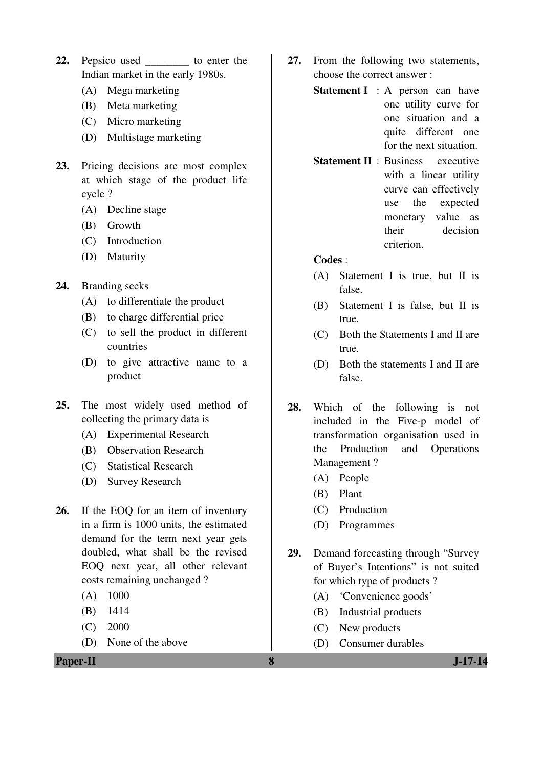- 22. Pepsico used to enter the Indian market in the early 1980s.
	- (A) Mega marketing
	- (B) Meta marketing
	- (C) Micro marketing
	- (D) Multistage marketing
- **23.** Pricing decisions are most complex at which stage of the product life cycle ?
	- (A) Decline stage
	- (B) Growth
	- (C) Introduction
	- (D) Maturity
- **24.** Branding seeks
	- (A) to differentiate the product
	- (B) to charge differential price
	- (C) to sell the product in different countries
	- (D) to give attractive name to a product
- **25.** The most widely used method of collecting the primary data is
	- (A) Experimental Research
	- (B) Observation Research
	- (C) Statistical Research
	- (D) Survey Research
- **26.** If the EOQ for an item of inventory in a firm is 1000 units, the estimated demand for the term next year gets doubled, what shall be the revised EOQ next year, all other relevant costs remaining unchanged ?
	- (A) 1000
	- (B) 1414
	- (C) 2000
	- (D) None of the above

**Paper-II 8 J-17-14** 

- **27.** From the following two statements, choose the correct answer :
	- **Statement I** : A person can have one utility curve for one situation and a quite different one for the next situation.
	- **Statement II** : Business executive with a linear utility curve can effectively use the expected monetary value as their decision criterion.

- (A) Statement I is true, but II is false.
- (B) Statement I is false, but II is true.
- (C) Both the Statements I and II are true.
- (D) Both the statements I and II are false.
- **28.** Which of the following is not included in the Five-p model of transformation organisation used in the Production and Operations Management ?
	- (A) People
	- (B) Plant
	- (C) Production
	- (D) Programmes
- **29.** Demand forecasting through "Survey of Buyer's Intentions" is not suited for which type of products ?
	- (A) 'Convenience goods'
	- (B) Industrial products
	- (C) New products
	- (D) Consumer durables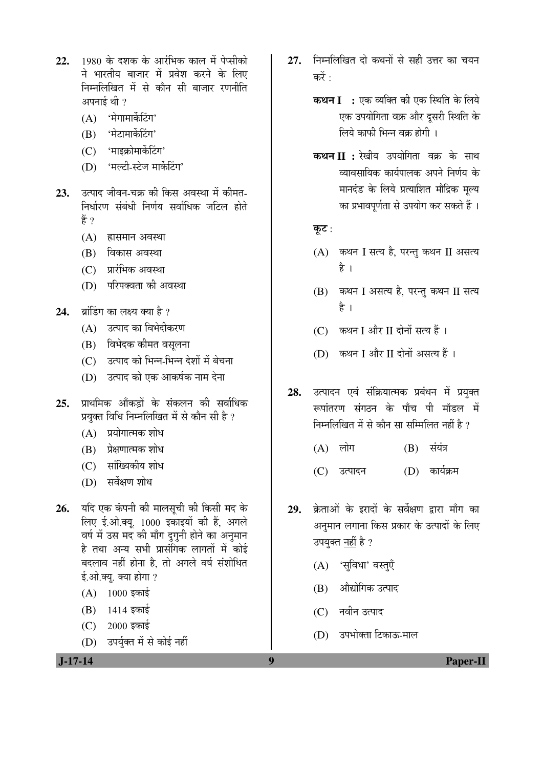- 22. 1980 के दशक के आरंभिक काल में पेप्सीको ने भारतीय बाजार में प्रवेश करने के लिए निम्नलिखित में से कौन सी बाजार रणनीति अपनाई थी $\,$  ?
	- $(A)$  'मेगामार्केटिंग'
	- (B) 'मेटामार्केटिंग'
	- $(C)$  'माइक्रोमार्केटिंग'
	- $(D)$  'मल्टी-स्टेज मार्केटिंग'
- 23. उत्पाद जीवन-चक्र की किस अवस्था में कीमत-<u>निर्धारण संबंधी निर्णय सर्वाधिक जटिल होते</u> हें ?
	- $(A)$  ह्रासमान अवस्था
	- (B) विकास अवस्था
	- $(C)$  प्रारंभिक अवस्था
	- (D) परिपक्वता की अवस्था
- **24.** ब्रांडिंग का लक्ष्य क्या है ?
	- (A) उत्पाद का विभेदीकरण
	- (B) विभेदक कीमत वसलना
	- (C) उत्पाद को भिन्न-भिन्न देशों में बेचना
	- $(D)$   $\bar{o}$ उत्पाद को एक आकर्षक नाम देना
- **25.** प्राथमिक आँकडों के संकलन की सर्वाधिक प्रयक्त विधि निम्नलिखित में से कौन सी है ?
	- $(A)$  प्रयोगात्मक शोध
	- $(B)$  प्रेक्षणात्मक शोध
	- (C) सांख्यिकीय शोध
	- (D) सर्वेक्षण शोध
- 26. यदि एक कंपनी की मालसूची की किसी मद के लिए ई.ओ.क्यू. 1000 इकाइयों की हैं, अगले वर्ष में उस मद की माँग दुगुनी होने का अनुमान है तथा अन्य सभी प्रासंगिक लागतों में कोई बदलाव नहीं होना है, तो अगले वर्ष संशोधित ई.ओ.क्यू. क्या होगा ?
	- $(A)$  1000 इकाई
	- $(B)$  1414 इकाई
	- $(C)$  2000 इकाई
	- (D) उपर्युक्त में से कोई नहीं
- 27. निम्नलिखित दो कथनों से सही उत्तर का चयन  $\overrightarrow{ab}$ .
	- **कथन I :** एक व्यक्ति की एक स्थिति के लिये एक उपयोगिता वक्र और दसरी स्थिति के लिये काफी भिन्न वक्र होगी ।
	- **कथन II :** रेखीय उपयोगिता वक्र के साथ ्व्यावसायिक कार्यपालक अपने निर्णय के मानदंड के लिये प्रत्याशित मौद्रिक मूल्य का प्रभावपर्णता से उपयोग कर सकते हैं ।

कूट :

- $(A)$  कथन I सत्य है, परन्तु कथन II असत्य है ।
- (B) कथन I असत्य है, परन्तु कथन II सत्य है ।
- $(C)$  कथन I और II दोनों सत्य हैं।
- (D) कथन I और II दोनों असत्य हैं ।
- 28. उत्पादन एवं संक्रियात्मक प्रबंधन में प्रयुक्त रूपांतरण संगठन के पाँच पी मॉडल में निम्नलिखित में से कौन सा सम्मिलित नहीं है ?
	- (A) लोग (B) संयंत्र
	- (C) उत्पादन (D) कार्यक्रम
- 29. क्रेताओं के इरादों के सर्वेक्षण द्वारा माँग का अनुमान लगाना किस प्रकार के उत्पादों के लिए उपयुक्त <u>नहीं</u> है ?
	- (A) 'सुविधा' वस्तुएँ
	- (B) औद्योगिक उत्पाद
	- (C) नवीन उत्पाद
	- (D) उपभोक्ता टिकाऊ-माल

 **J-17-14 9 Paper-II**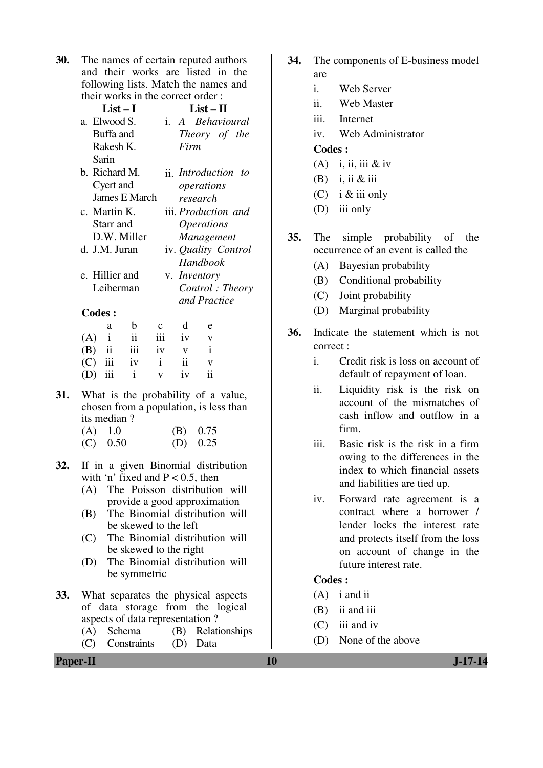**30.** The names of certain reputed authors and their works are listed in the following lists. Match the names and their works in the correct order :

| List – I       | $List-II$                    |
|----------------|------------------------------|
| a. Elwood S.   | <i>i. A Behavioural</i>      |
| Buffa and      | Theory of the                |
| Rakesh K.      | Firm                         |
| Sarin          |                              |
| b. Richard M.  | <i>ii Introduction</i><br>to |
| Cyert and      | operations                   |
| James E March  | research                     |
| c. Martin K.   | iii. <i>Production and</i>   |
| Starr and      | <i><b>Operations</b></i>     |
| D.W. Miller    | Management                   |
| d. J.M. Juran  | iv. Quality Control          |
|                | Handbook                     |
| e. Hillier and | v. <i>Inventory</i>          |
| Leiberman      | Control: Theory              |
|                | and Practice                 |
| <b>Codes:</b>  |                              |

| a |                       | b c d e |                         |
|---|-----------------------|---------|-------------------------|
|   | $(A)$ i ii iii iv v   |         |                         |
|   | $(B)$ ii iii iv $v$ i |         |                         |
|   | $(C)$ iii iv i ii     |         |                         |
|   | $(D)$ iii i v         | iv      | $\overline{\mathbf{u}}$ |

- **31.** What is the probability of a value, chosen from a population, is less than its median ?
	- (A) 1.0 (B) 0.75
	- $(C)$  0.50  $(D)$  0.25
- **32.** If in a given Binomial distribution with 'n' fixed and  $P < 0.5$ , then
	- (A) The Poisson distribution will provide a good approximation
	- (B) The Binomial distribution will be skewed to the left
	- (C) The Binomial distribution will be skewed to the right
	- (D) The Binomial distribution will be symmetric
- **33.** What separates the physical aspects of data storage from the logical aspects of data representation ?
	- (A) Schema (B) Relationships
	- (C) Constraints (D) Data
- **34.** The components of E-business model are
	- i. Web Server
	- ii. Web Master
	- iii. Internet
	- iv. Web Administrator

### **Codes :**

- (A) i, ii, iii & iv
- $(B)$  i, ii & iii
- (C) i  $&$  iii only
- (D) iii only
- **35.** The simple probability of the occurrence of an event is called the
	- (A) Bayesian probability
	- (B) Conditional probability
	- (C) Joint probability
	- (D) Marginal probability
- **36.** Indicate the statement which is not correct :
	- i. Credit risk is loss on account of default of repayment of loan.
	- ii. Liquidity risk is the risk on account of the mismatches of cash inflow and outflow in a firm.
	- iii. Basic risk is the risk in a firm owing to the differences in the index to which financial assets and liabilities are tied up.
	- iv. Forward rate agreement is a contract where a borrower / lender locks the interest rate and protects itself from the loss on account of change in the future interest rate.

- (A) i and ii
- (B) ii and iii
- (C) iii and iv
- (D) None of the above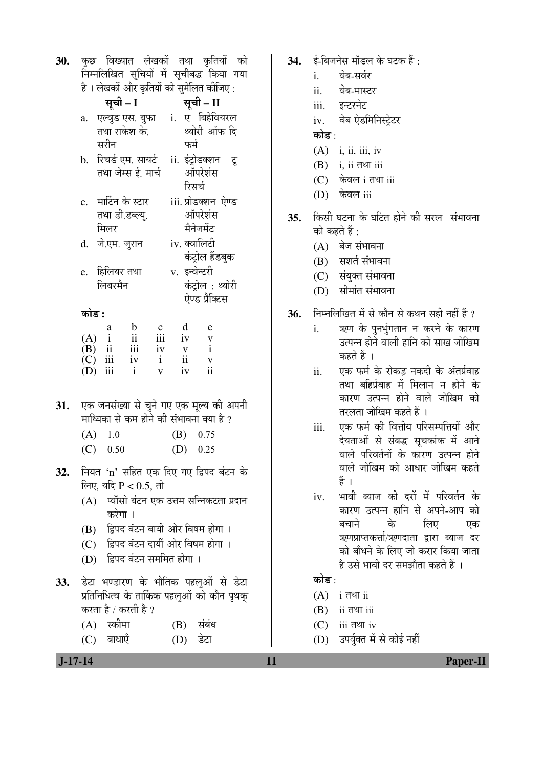**30.** कुछ विख्यात लेखकों तथा कृतियों को निम्नलिखित सुचियों में सुचीबद्ध किया गया  $\hat{\mathsf{g}}$ । लेखकों और कतियों को समेलित कीजिए  $\cdot$ 

|     |       |                   | सूची - I                                                                                           |                                         |     |               | सूची – II           |  |
|-----|-------|-------------------|----------------------------------------------------------------------------------------------------|-----------------------------------------|-----|---------------|---------------------|--|
|     | a.    |                   | एल्वुड एस. बुफा                                                                                    |                                         |     |               | i. ए बिहेवियरल      |  |
|     |       |                   | तथा राकेश के.                                                                                      |                                         |     |               | थ्योरी ऑफ दि        |  |
|     |       | सरीन              |                                                                                                    |                                         |     | फर्म          |                     |  |
|     |       |                   | b.   रिचर्ड एम. सायर्ट                                                                             |                                         |     |               | ii. इंट्रोडक्शन टू  |  |
|     |       |                   | तथा जेम्स ई. मार्च                                                                                 |                                         |     |               | ऑपरेशंस             |  |
|     |       |                   |                                                                                                    |                                         |     |               | रिसर्च              |  |
|     |       |                   | c.   मार्टिन के स्टार                                                                              |                                         |     |               | iii. प्रोडक्शन ऐण्ड |  |
|     |       |                   | तथा डी.डब्ल्यू.                                                                                    |                                         |     |               | ऑपरेशंस             |  |
|     |       | मिलर              |                                                                                                    |                                         |     |               | मैनेजमेंट           |  |
|     | d.    |                   | जे.एम. जुरान                                                                                       |                                         |     |               | iv. क्वालिटी        |  |
|     |       |                   |                                                                                                    |                                         |     |               | कंट्रोल हैंडबुक     |  |
|     |       |                   | e. हिलियर तथा                                                                                      |                                         |     |               | v. इन्वेन्टरी       |  |
|     |       | लिबरमैन           |                                                                                                    |                                         |     |               | कंट्रोल : थ्योरी    |  |
|     |       |                   |                                                                                                    |                                         |     |               | ऐण्ड प्रैक्टिस      |  |
|     | कोड : |                   |                                                                                                    |                                         |     |               |                     |  |
|     |       |                   |                                                                                                    |                                         |     | d             |                     |  |
|     | (A)   | a<br>$\mathbf{i}$ | $\mathbf b$<br>ii                                                                                  | $\mathbf{C}$<br>$\overline{\text{iii}}$ |     | iv            | e                   |  |
|     |       |                   | $\overrightarrow{B}$ $\overrightarrow{ii}$ $\overrightarrow{iii}$<br>(C) $\overrightarrow{iii}$ iv | iv                                      |     | $\mathbf{V}$  | $\frac{v}{i}$       |  |
|     |       |                   |                                                                                                    | $\mathbf{i}$                            |     | $\mathbf{ii}$ | $\mathbf{V}$        |  |
|     |       | $(D)$ iii         | $\mathbf{i}$                                                                                       | $\overline{\mathbf{V}}$                 |     | iv            | $\mathbf{ii}$       |  |
|     |       |                   |                                                                                                    |                                         |     |               |                     |  |
| 31. |       |                   | एक जनसंख्या से चुने गए एक मूल्य की अपनी                                                            |                                         |     |               |                     |  |
|     |       |                   | माध्यिका से कम होने की संभावना क्या है ?                                                           |                                         |     |               |                     |  |
|     |       | 1.0               |                                                                                                    |                                         | (B) |               | 0.75                |  |
|     | (A)   |                   |                                                                                                    |                                         |     |               |                     |  |
|     |       | $(C)$ 0.50        |                                                                                                    |                                         |     |               | $(D)$ 0.25          |  |
| 32. |       |                   | नियत 'n' सहित एक दिए गए द्विपद बंटन के                                                             |                                         |     |               |                     |  |
|     |       |                   | लिए, यदि P < 0.5, तो                                                                               |                                         |     |               |                     |  |
|     | (A)   |                   | प्वाँसो बंटन एक उत्तम सन्निकटता प्रदान                                                             |                                         |     |               |                     |  |
|     |       | करेगा ।           |                                                                                                    |                                         |     |               |                     |  |
|     |       |                   |                                                                                                    |                                         |     |               |                     |  |

- (B) द्विपद बंटन बायीं ओर विषम होगा ।
- (C) द्विपद बंटन दायीं ओर विषम होगा ।
- (D) द्विपद बंटन सममित होगा ।
- 33. डेटा भण्डारण के भौतिक पहलुओं से डेटा प्रतिनिधित्व के तार्किक पहलुओं को कौन पृथक करता है / करती है ?
	- (A) स्कीमा (B) संबंध
	- (C) बाधाएँ (D) डेटा
- 34. ई-बिजनेस मॉडल के घटक हैं:
	- i. वेब-सर्वर
	- ii. वेब-मास्टर
	- iii. इन्टरनेट
	- iv. वेब ऐडमिनिस्टेटर

# कोड :

- $(A)$  i, ii, iii, iv
- $(B)$  i, ii तथा iii
- $(C)$  केवल i तथा iii
- (D) केवल iii
- 35. किसी घटना के घटित होने की सरल संभावना को कहते हैं :
	- $(A)$  बेज संभावना
	- $(B)$  सशर्त संभावना
	- (C) संयुक्त संभावना
	- (D) सीमांत संभावना
- 36. Fital of The Theoryon Assets of the Theoryon Content and the content of the content and the Song Theoryon S
	- i. ऋण के पुनर्भुगतान न करने के कारण उत्पन्न होने वाली हानि को साख जोखिम कहते हैं ।
	- ii. एक फर्म के रोकड़ नकदी के अंतर्प्रवाह तथा बहिर्प्रवाह में मिलान न होने के कारण उत्पन्न होने वाले जोखिम को तरलता जोखिम कहते हैं ।
	- iii. एक फर्म की वित्तीय परिसम्पत्तियों और देयताओं से संबद्ध सूचकांक में आने वाले परिवर्तनों के कारण उत्पन्न होने वाले जोखिम को आधार जोखिम कहते हैं ।
	- iv. भावी ब्याज की दरों में परिवर्तन के कारण उत्पन्न हानि से अपने-आप को<br>बचाने के लिए एक बचाने के लिए एक ऋणप्राप्तकर्त्ता/ऋणदाता द्वारा ब्याज दर को बाँधने के लिए जो करार किया जाता  $\hat{\mathbf{g}}$  उसे भावी दर समझौता कहते हैं ।

# कोड :

- $(A)$  i तथा ii
- $(B)$  ii  $\overline{d}$  iii
- $(C)$  iii तथा iv
- (D) उपर्युक्त में से कोई नहीं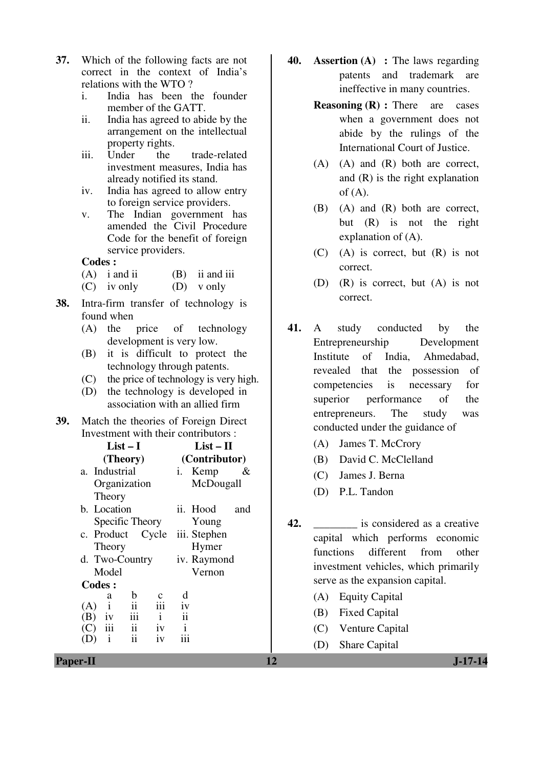- **37.** Which of the following facts are not correct in the context of India's relations with the WTO ?
	- i. India has been the founder member of the GATT.
	- ii. India has agreed to abide by the arrangement on the intellectual property rights.<br>Under the
	- iii. Under the trade-related investment measures. India has already notified its stand.
	- iv. India has agreed to allow entry to foreign service providers.
	- v. The Indian government has amended the Civil Procedure Code for the benefit of foreign service providers.

- (A) i and ii (B) ii and iii
- (C) iv only (D) v only
- **38.** Intra-firm transfer of technology is found when
	- (A) the price of technology development is very low.
	- (B) it is difficult to protect the technology through patents.
	- (C) the price of technology is very high.
	- (D) the technology is developed in association with an allied firm
- **39.** Match the theories of Foreign Direct Investment with their contributors :

| $List-I$                                                                                                                                                                                                                                                                                                                                                   | $List-II$                                                                                                                                                  | (A)<br>James T. McCrory                                                                                                                                                                                                                                                                                                                                            |
|------------------------------------------------------------------------------------------------------------------------------------------------------------------------------------------------------------------------------------------------------------------------------------------------------------------------------------------------------------|------------------------------------------------------------------------------------------------------------------------------------------------------------|--------------------------------------------------------------------------------------------------------------------------------------------------------------------------------------------------------------------------------------------------------------------------------------------------------------------------------------------------------------------|
| (Theory)                                                                                                                                                                                                                                                                                                                                                   | (Contributor)                                                                                                                                              | David C. McClelland<br>(B)                                                                                                                                                                                                                                                                                                                                         |
| a. Industrial<br>Organization<br>Theory<br>b. Location<br>Specific Theory<br>Cycle<br>c. Product<br>Theory<br>d. Two-Country<br>Model<br><b>Codes:</b><br>$\mathbf b$<br>$\mathbf c$<br>a<br>$\bullet\,\bullet$<br>iii<br>(A)<br>11<br>iii<br>$\mathbf{i}$<br>(B)<br>1V<br>ii<br>iii<br>iv<br>(C)<br>$\bullet\,\bullet$<br>iv<br>(D)<br>11<br>$\mathbf{1}$ | i. Kemp<br>&<br>McDougall<br>ii. Hood<br>and<br>Young<br>iii. Stephen<br>Hymer<br>iv. Raymond<br>Vernon<br>d<br>iv<br>$\mathbf{ii}$<br>$\mathbf{i}$<br>iii | (C)<br>James J. Berna<br>P.L. Tandon<br>(D)<br>42.<br>is considered as a creative<br>capital which performs economic<br>different<br>functions<br>from<br>other<br>investment vehicles, which primarily<br>serve as the expansion capital.<br><b>Equity Capital</b><br>(A)<br>(B)<br><b>Fixed Capital</b><br>(C)<br>Venture Capital<br><b>Share Capital</b><br>(D) |
| <b>Paper-II</b>                                                                                                                                                                                                                                                                                                                                            |                                                                                                                                                            | 12<br>$J-17-14$                                                                                                                                                                                                                                                                                                                                                    |

- **40. Assertion (A) :** The laws regarding patents and trademark are ineffective in many countries.
	- **Reasoning (R) :** There are cases when a government does not abide by the rulings of the International Court of Justice.
	- (A) (A) and (R) both are correct, and (R) is the right explanation of  $(A)$ .
	- (B) (A) and (R) both are correct, but (R) is not the right explanation of (A).
	- (C) (A) is correct, but (R) is not correct.
	- (D) (R) is correct, but (A) is not correct.
- **41.** A study conducted by the Entrepreneurship Development Institute of India, Ahmedabad, revealed that the possession of competencies is necessary for superior performance of the entrepreneurs. The study was conducted under the guidance of
	- (A) James T. McCrory
	- (B) David C. McClelland
	- (C) James J. Berna
	- (D) P.L. Tandon
- **42.** \_\_\_\_\_\_\_\_ is considered as a creative capital which performs economic functions different from other investment vehicles, which primarily serve as the expansion capital.
	- (A) Equity Capital
	- (B) Fixed Capital
	- (C) Venture Capital
	- (D) Share Capital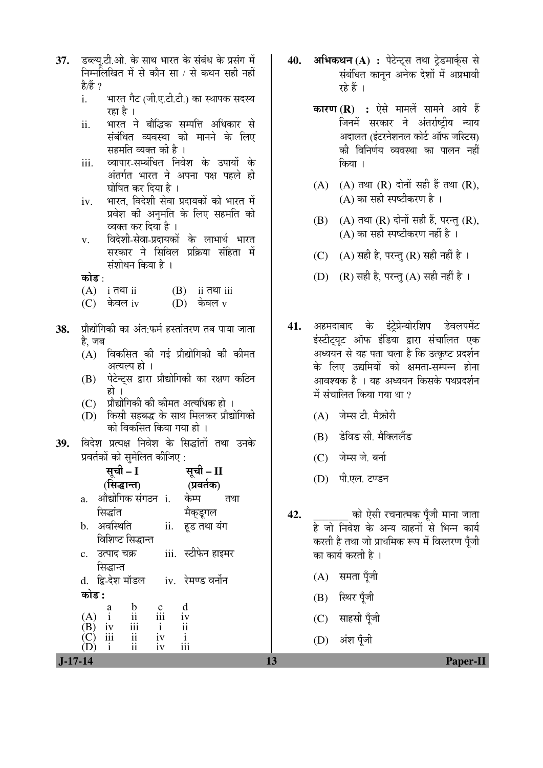- 37. Eæय.टी.ओ. के साथ भारत के संबंध के प्रसंग में निम्नलिखित में से कौन सा / से कथन सही नहीं है/हैं ?
	- i. भारत गैट (जी.ए.टी.टी.) का स्थापक सदस्य रहा है ।
	- ii. भारत ने बौद्धिक सम्पत्ति अधिकार से संबंधित व्यवस्था को मानने के लिए सहमति व्यक्त की है ।
	- iii. व्यापार-सम्बंधित निवेश के उपायों के अंतर्गत भारत ने अपना पक्ष पहले ही घोषित कर दिया है ।
	- iv. भारत, विदेशी सेवा प्रदायकों को भारत में प्रवेश की अनुमति के लिए सहमति को व्यक्त कर दिया है।
	- v. विदेशी-सेवा-प्रदायकों के लाभार्थ भारत सरकार ने सिविल प्रक्रिया संहिता में संशोधन किया है ।
	- कोड :
	- $(A)$  i  $\overline{d}$ <sup>n</sup> ii  $(B)$  ii  $\overline{d}$ <sup>n</sup> iii
	- $(C)$  केवल iv  $(D)$  केवल v
- 38. प्रौद्योगिकी का अंत फर्म हस्तांतरण तब पाया जाता हे. जब
	- $(A)$  विकसित की गई प्रौद्योगिकी की कीमत अत्यल्प हो ।
	- (B) पेटेन्टस द्वारा प्रौद्योगिकी का रक्षण कठिन हो ।
	- $(C)$  प्रौद्योगिकी की कीमत अत्यधिक हो ।
	- $\overline{D}$ ) किसी सहबद्ध के साथ मिलकर प्रौद्योगिकी को विकसित किया गया हो ।
- 39. विदेश प्रत्यक्ष निवेश के सिद्धांतों तथा उनके प्रवर्तकों को समेलित कीजिए :

|       | सूची – I                                               |                | सूची – II                      |     |
|-------|--------------------------------------------------------|----------------|--------------------------------|-----|
|       | (सिद्धान्त)                                            |                | (प्रवर्तक)                     |     |
| a.    | औद्योगिक संगठन i.                                      |                | केम्प                          | तथा |
|       | सिद्धांत                                               |                | मैक्डूगल                       |     |
| b.    | अवस्थिति                                               | ii.            | हड तथा यंग                     |     |
|       | विशिष्ट सिद्धान्त                                      |                |                                |     |
|       | c.   उत्पाद चक्र                                       |                | iii.   स्टीफेन हाइमर           |     |
|       | सिद्धान्त                                              |                |                                |     |
|       | d. द्वि-देश मॉडल     iv.   रेमण्ड वर्नोन               |                |                                |     |
| कोड : |                                                        |                |                                |     |
|       | (A) $\stackrel{a}{\text{(B)}}$ iv<br>(B) iv<br>(C) iii | $rac{c}{111}$  | d                              |     |
|       | $\overline{\mathbf{u}}$<br>iii                         | $\,\mathrm{i}$ | iv<br>$\overline{\mathrm{ii}}$ |     |
|       | $\overline{\mathbf{ii}}$                               | iv             | $\mathbf{i}$                   |     |
|       | $\overline{\rm ii}$<br>$\mathbf{i}$                    | iv             |                                |     |

- 40. अभिकथन (A) : पेटेन्ट्स तथा टेडमार्कस से संबंधित कानून अनेक देशों में अप्रभावी रहे हैं ।
	- **कारण (R) :** ऐसे मामलें सामने आये हैं जिनमें सरकार ने अंतर्राष्ट्रीय न्याय अदालत (इंटरनेशनल कोर्ट ऑफ जस्टिस) की विनिर्णय व्यवस्था का पालन नहीं किया ।
	- $(A)$   $(A)$  तथा  $(R)$  दोनों सही हैं तथा  $(R)$ , (A) का सही स्पष्टीकरण है $\,$ ।
	- $(B)$   $(A)$  तथा  $(R)$  दोनों सही हैं, परन्त  $(R)$ ,  $(A)$  का सही स्पष्टीकरण नहीं है ।
	- (C)  $(A)$  सही है, परन्त $(R)$  सही नहीं है ।
	- (D) (R) सही है, परन्तु (A) सही नहीं है।
- 41. अहमदाबाद के इंट्रेप्रेन्योरशिप डेवलपमेंट इंस्टीट्यूट ऑफ इंडिया द्वारा संचालित एक अध्ययन से यह पता चला है कि उत्कृष्ट प्रदर्शन के लिए उद्यमियों को क्षमता-सम्पन्न होना आवश्यक है । यह अध्ययन किसके पथप्रदर्शन में संचालित किया गया था  $\overline{?}$ 
	- $(A)$  जेम्स टी मैकोरी
	- (B) डेविड सी. मैक्लिलैंड
	- (C) जेम्स जे. बर्ना
	- (D) पी.एल. टण्डन
- **42.** को ऐसी रचनात्मक पूँजी माना जाता है जो निवेश के अन्य वाहनों से भिन्न कार्य करती है तथा जो प्राथमिक रूप में विस्तरण पँजी का कार्य करती है ।
	- $(A)$  समता पूँजी
	- (B) स्थिर पूँजी
	- (C) साहसी पूँजी
	- $(D)$  अंश पँजी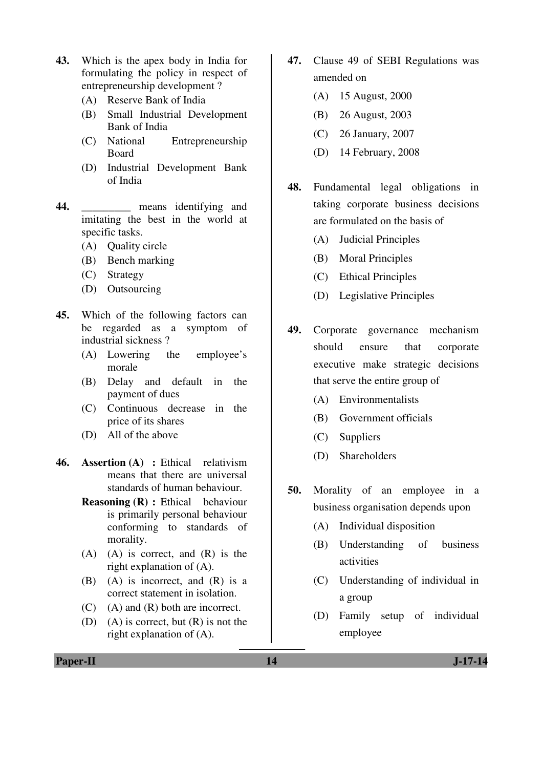- **43.** Which is the apex body in India for formulating the policy in respect of entrepreneurship development ?
	- (A) Reserve Bank of India
	- (B) Small Industrial Development Bank of India
	- (C) National Entrepreneurship Board
	- (D) Industrial Development Bank of India
- **44.** \_\_\_\_\_\_\_\_\_ means identifying and imitating the best in the world at specific tasks.
	- (A) Quality circle
	- (B) Bench marking
	- (C) Strategy
	- (D) Outsourcing
- **45.** Which of the following factors can be regarded as a symptom of industrial sickness ?
	- (A) Lowering the employee's morale
	- (B) Delay and default in the payment of dues
	- (C) Continuous decrease in the price of its shares
	- (D) All of the above
- **46. Assertion (A) :** Ethical relativism means that there are universal standards of human behaviour.
	- **Reasoning (R) :** Ethical behaviour is primarily personal behaviour conforming to standards of morality.
	- (A) (A) is correct, and (R) is the right explanation of (A).
	- (B) (A) is incorrect, and (R) is a correct statement in isolation.
	- (C) (A) and (R) both are incorrect.
	- (D) (A) is correct, but (R) is not the right explanation of (A).
- **47.** Clause 49 of SEBI Regulations was amended on
	- (A) 15 August, 2000
	- (B) 26 August, 2003
	- (C) 26 January, 2007
	- (D) 14 February, 2008
- **48.** Fundamental legal obligations in taking corporate business decisions are formulated on the basis of
	- (A) Judicial Principles
	- (B) Moral Principles
	- (C) Ethical Principles
	- (D) Legislative Principles
- **49.** Corporate governance mechanism should ensure that corporate executive make strategic decisions that serve the entire group of
	- (A) Environmentalists
	- (B) Government officials
	- (C) Suppliers
	- (D) Shareholders
- **50.** Morality of an employee in a business organisation depends upon
	- (A) Individual disposition
	- (B) Understanding of business activities
	- (C) Understanding of individual in a group
	- (D) Family setup of individual employee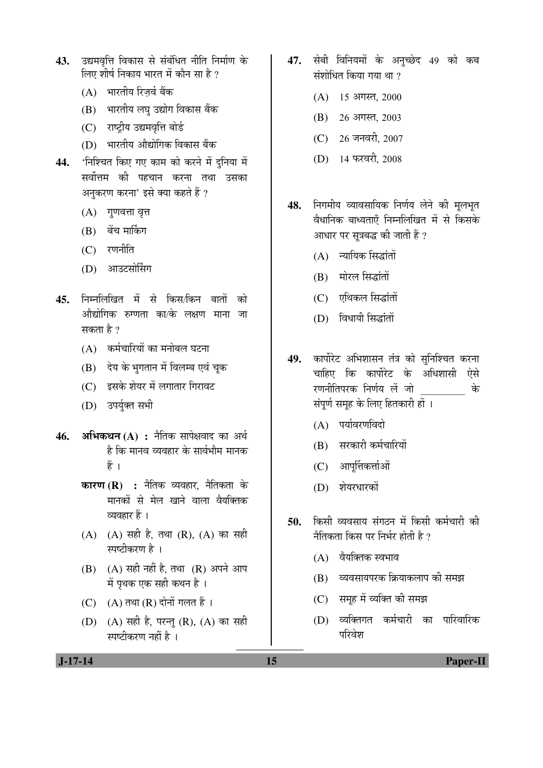- 43. उद्यमवत्ति विकास से संबंधित नीति निर्माण के लिए शीर्ष निकाय भारत में कौन सा है ?
	- (A) भारतीय रिजर्व बैंक
	- (B) भारतीय लघु उद्योग विकास बैंक
	- (C) राष्ट्रीय उद्यमवृत्ति बोर्ड
	- (D) भारतीय औद्योगिक विकास बैंक
- 44. 'निश्चित किए गए काम को करने में दुनिया में सर्वोत्तम की पहचान करना तथा उसका अनुकरण करना' इसे क्या कहते हैं ?
	- $(A)$  गुणवत्ता वृत्त
	- (B) बेंच मार्किंग
	- $(C)$  रणनीति
	- (D) आउटसोर्सिंग
- 45. निम्नलिखित में से किस/किन बातों को ओद्योगिक रुग्णता का/के लक्षण माना जा सकता है ?
	- $(A)$  कर्मचारियों का मनोबल घटना
	- $(B)$  देय के भुगतान में विलम्ब एवं चूक
	- $(C)$  इसके शेयर में लगातार गिरावट
	- (D) उपर्युक्त सभी
- **46. अभिकथन (A) : नैतिक सापेक्षवाद का अर्थ** है कि मानव व्यवहार के सार्वभौम मानक हैं ।
	- **कारण (R) :** नैतिक व्यवहार नैतिकता के `मानकों से मेल खाने वाला वैयक्तिक व्यवहार हैं ।
	- $(A)$   $(A)$  सही है, तथा  $(R)$ ,  $(A)$  का सही स्पष्टीकरण है ।
	- $(B)$   $(A)$  सही नहीं है, तथा  $(R)$  अपने आप में पृथक एक सही कथन है ।
	- $(C)$   $(A)$  तथा  $(R)$  दोनों गलत हैं ।
	- (D) (A) सही है, परन्तु (R), (A) का सही स्पष्टीकरण नहीं है ।
- 47. सेबी विनियमों के अनुच्छेद 49 को कब संशोधित किया गया था ?
	- $(A)$  15 अगस्त, 2000
	- (B) 26 अगस्त, 2003
	- (C) 26 जनवरी, 2007
	- (D) 14 फरवरी, 2008
- 48. निगमीय व्यावसायिक निर्णय लेने की मुलभुत वैधानिक बाध्यताएँ निम्नलिखित में से किसके आधार पर सत्रबद्ध की जाती हैं ?
	- $(A)$  न्यायिक सिद्धांतों
	- $(B)$  मोरल सिद्धांतों
	- $(C)$  एथिकल सिद्धांतों
	- (D) विधायी सिद्धांतों
- 49. कार्पोरेट अभिशासन तंत्र को सुनिश्चित करना चाहिए कि कार्पोरेट के अधिशासी ऐसे रणनीतिपरक निर्णय लें जो के संपर्ण समह के लिए हितकारी हों ।
	- $(A)$  पर्यावरणविदो
	- $(B)$  सरकारी कर्मचारियों
	- $(C)$  आपूर्तिकर्त्ताओं
	- (D) शेयरधारकों
- 50. किसी व्यवसाय संगठन में किसी कर्मचारी की नैतिकता किस पर निर्भर होती है $2$ 
	- $(A)$  वैयक्तिक स्वभाव
	- (B) व्यवसायपरक क्रियाकलाप की समझ
	- (C) समूह में व्यक्ति की समझ
	- (D) व्यक्तिगत कर्मचारी का पारिवारिक परिवेश

 **J-17-14 15 Paper-II**